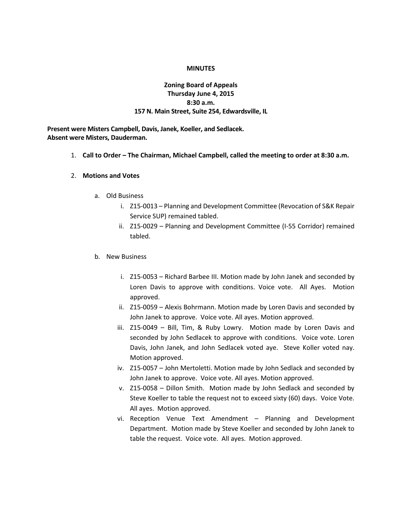### **MINUTES**

## **Zoning Board of Appeals Thursday June 4, 2015 8:30 a.m. 157 N. Main Street, Suite 254, Edwardsville, IL**

**Present were Misters Campbell, Davis, Janek, Koeller, and Sedlacek. Absent were Misters, Dauderman.**

1. **Call to Order – The Chairman, Michael Campbell, called the meeting to order at 8:30 a.m.**

### 2. **Motions and Votes**

- a. Old Business
	- i. Z15-0013 Planning and Development Committee (Revocation of S&K Repair Service SUP) remained tabled.
	- ii. Z15-0029 Planning and Development Committee (I-55 Corridor) remained tabled.

## b. New Business

- i. Z15-0053 Richard Barbee III. Motion made by John Janek and seconded by Loren Davis to approve with conditions. Voice vote. All Ayes. Motion approved.
- ii. Z15-0059 Alexis Bohrmann. Motion made by Loren Davis and seconded by John Janek to approve. Voice vote. All ayes. Motion approved.
- iii. Z15-0049 Bill, Tim, & Ruby Lowry. Motion made by Loren Davis and seconded by John Sedlacek to approve with conditions. Voice vote. Loren Davis, John Janek, and John Sedlacek voted aye. Steve Koller voted nay. Motion approved.
- iv. Z15-0057 John Mertoletti. Motion made by John Sedlack and seconded by John Janek to approve. Voice vote. All ayes. Motion approved.
- v. Z15-0058 Dillon Smith. Motion made by John Sedlack and seconded by Steve Koeller to table the request not to exceed sixty (60) days. Voice Vote. All ayes. Motion approved.
- vi. Reception Venue Text Amendment Planning and Development Department. Motion made by Steve Koeller and seconded by John Janek to table the request. Voice vote. All ayes. Motion approved.